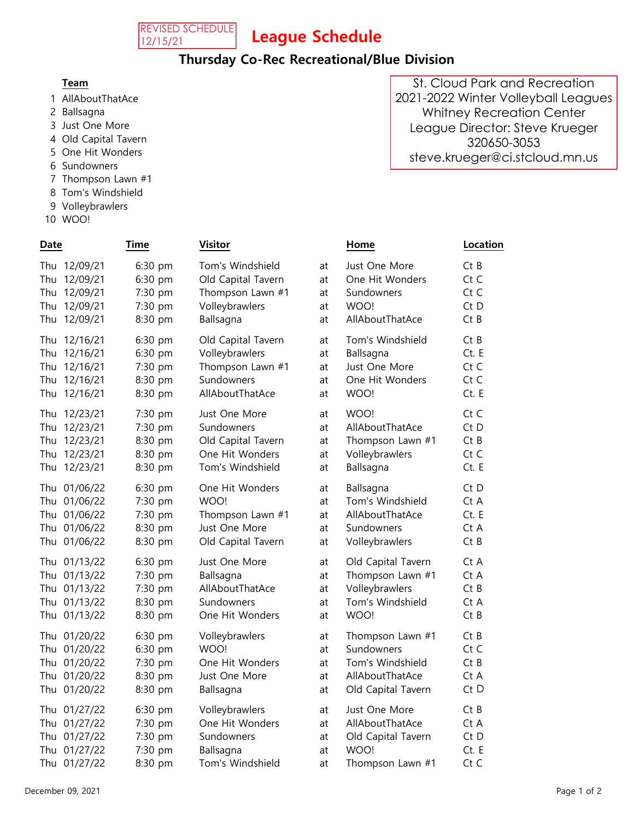

## League Schedule

### Thursday Co-Rec Recreational/Blue Division

- 1 AllAboutThatAce
- 2 Ballsagna
- 3 Just One More
- 4 Old Capital Tavern
- 5 One Hit Wonders
- 6 Sundowners
- 7 Thompson Lawn  $#1$
- 8 Tom's Windshield
- 9 Volleybrawlers
- 10 WOO!

| Date                                                                            | Time                                                | <b>Visitor</b>                                                                            |                            | Home                                                                      | Location                           |
|---------------------------------------------------------------------------------|-----------------------------------------------------|-------------------------------------------------------------------------------------------|----------------------------|---------------------------------------------------------------------------|------------------------------------|
| Thu 12/09/21<br>Thu 12/09/21<br>Thu 12/09/21<br>Thu 12/09/21<br>12/09/21<br>Thu | 6:30 pm<br>6:30 pm<br>7:30 pm<br>7:30 pm<br>8:30 pm | Tom's Windshield<br>Old Capital Tavern<br>Thompson Lawn #1<br>Volleybrawlers<br>Ballsagna | at<br>at<br>at<br>at<br>at | Just One More<br>One Hit Wonders<br>Sundowners<br>WOO!<br>AllAboutThatAce | CtB<br>Ct C<br>Ct C<br>Ct D<br>CtB |
| Thu 12/16/21                                                                    | 6:30 pm                                             | Old Capital Tavern                                                                        | at                         | Tom's Windshield                                                          | CtB                                |
| Thu 12/16/21                                                                    | 6:30 pm                                             | Volleybrawlers                                                                            | at                         | Ballsagna                                                                 | Ct. E                              |
| Thu 12/16/21                                                                    | 7:30 pm                                             | Thompson Lawn #1                                                                          | at                         | Just One More                                                             | Ct C                               |
| Thu 12/16/21                                                                    | 8:30 pm                                             | Sundowners                                                                                | at                         | One Hit Wonders                                                           | Ct C                               |
| Thu 12/16/21                                                                    | 8:30 pm                                             | AllAboutThatAce                                                                           | at                         | WOO!                                                                      | Ct. E                              |
| Thu 12/23/21                                                                    | 7:30 pm                                             | Just One More                                                                             | at                         | WOO!                                                                      | Ct C                               |
| Thu 12/23/21                                                                    | 7:30 pm                                             | Sundowners                                                                                | at                         | AllAboutThatAce                                                           | Ct D                               |
| Thu 12/23/21                                                                    | 8:30 pm                                             | Old Capital Tavern                                                                        | at                         | Thompson Lawn #1                                                          | CtB                                |
| Thu 12/23/21                                                                    | 8:30 pm                                             | One Hit Wonders                                                                           | at                         | Volleybrawlers                                                            | Ct C                               |
| Thu 12/23/21                                                                    | 8:30 pm                                             | Tom's Windshield                                                                          | at                         | Ballsagna                                                                 | Ct. E                              |
| Thu 01/06/22                                                                    | 6:30 pm                                             | One Hit Wonders                                                                           | at                         | Ballsagna                                                                 | Ct D                               |
| Thu 01/06/22                                                                    | 7:30 pm                                             | WOO!                                                                                      | at                         | Tom's Windshield                                                          | Ct A                               |
| Thu 01/06/22                                                                    | 7:30 pm                                             | Thompson Lawn #1                                                                          | at                         | AllAboutThatAce                                                           | Ct. E                              |
| Thu 01/06/22                                                                    | 8:30 pm                                             | Just One More                                                                             | at                         | Sundowners                                                                | Ct A                               |
| Thu 01/06/22                                                                    | 8:30 pm                                             | Old Capital Tavern                                                                        | at                         | Volleybrawlers                                                            | CtB                                |
| Thu 01/13/22                                                                    | 6:30 pm                                             | Just One More                                                                             | at                         | Old Capital Tavern                                                        | Ct A                               |
| Thu 01/13/22                                                                    | 7:30 pm                                             | Ballsagna                                                                                 | at                         | Thompson Lawn #1                                                          | Ct A                               |
| Thu 01/13/22                                                                    | 7:30 pm                                             | AllAboutThatAce                                                                           | at                         | Volleybrawlers                                                            | CtB                                |
| Thu 01/13/22                                                                    | 8:30 pm                                             | Sundowners                                                                                | at                         | Tom's Windshield                                                          | Ct A                               |
| Thu 01/13/22                                                                    | 8:30 pm                                             | One Hit Wonders                                                                           | at                         | WOO!                                                                      | CtB                                |
| Thu 01/20/22                                                                    | 6:30 pm                                             | Volleybrawlers                                                                            | at                         | Thompson Lawn #1                                                          | CtB                                |
| Thu 01/20/22                                                                    | 6:30 pm                                             | WOO!                                                                                      | at                         | Sundowners                                                                | Ct C                               |
| Thu 01/20/22                                                                    | 7:30 pm                                             | One Hit Wonders                                                                           | at                         | Tom's Windshield                                                          | CtB                                |
| Thu 01/20/22                                                                    | 8:30 pm                                             | Just One More                                                                             | at                         | AllAboutThatAce                                                           | Ct A                               |
| Thu 01/20/22                                                                    | 8:30 pm                                             | Ballsagna                                                                                 | at                         | Old Capital Tavern                                                        | $Ct$ D                             |
| Thu 01/27/22                                                                    | 6:30 pm                                             | Volleybrawlers                                                                            | at                         | Just One More                                                             | CtB                                |
| Thu 01/27/22                                                                    | 7:30 pm                                             | One Hit Wonders                                                                           | at                         | AllAboutThatAce                                                           | Ct A                               |
| Thu 01/27/22                                                                    | 7:30 pm                                             | Sundowners                                                                                | at                         | Old Capital Tavern                                                        | Ct D                               |
| Thu 01/27/22                                                                    | 7:30 pm                                             | Ballsagna                                                                                 | at                         | WOO!                                                                      | Ct. E                              |
| Thu 01/27/22                                                                    | 8:30 pm                                             | Tom's Windshield                                                                          | at                         | Thompson Lawn #1                                                          | Ct C                               |

Team Contact Person Phone Email Phone Email Phone Email Phone Email Phone Email Phone Email Phone Email Phone E St. Cloud Park and Recreation 2021-2022 Winter Volleyball Leagues Whitney Recreation Center League Director: Steve Krueger 320650-3053 steve.krueger@ci.stcloud.mn.us